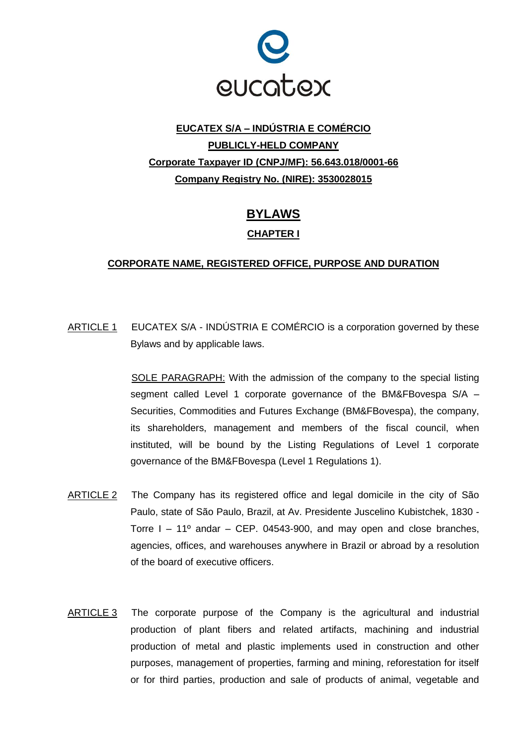

# **EUCATEX S/A – INDÚSTRIA E COMÉRCIO PUBLICLY-HELD COMPANY Corporate Taxpayer ID (CNPJ/MF): 56.643.018/0001-66 Company Registry No. (NIRE): 3530028015**

# **BYLAWS**

## **CHAPTER I**

## **CORPORATE NAME, REGISTERED OFFICE, PURPOSE AND DURATION**

ARTICLE 1 EUCATEX S/A - INDÚSTRIA E COMÉRCIO is a corporation governed by these Bylaws and by applicable laws.

> SOLE PARAGRAPH: With the admission of the company to the special listing segment called Level 1 corporate governance of the BM&FBovespa S/A – Securities, Commodities and Futures Exchange (BM&FBovespa), the company, its shareholders, management and members of the fiscal council, when instituted, will be bound by the Listing Regulations of Level 1 corporate governance of the BM&FBovespa (Level 1 Regulations 1).

- ARTICLE 2 The Company has its registered office and legal domicile in the city of São Paulo, state of São Paulo, Brazil, at Av. Presidente Juscelino Kubistchek, 1830 - Torre  $I - 11^{\circ}$  andar – CEP. 04543-900, and may open and close branches, agencies, offices, and warehouses anywhere in Brazil or abroad by a resolution of the board of executive officers.
- ARTICLE 3 The corporate purpose of the Company is the agricultural and industrial production of plant fibers and related artifacts, machining and industrial production of metal and plastic implements used in construction and other purposes, management of properties, farming and mining, reforestation for itself or for third parties, production and sale of products of animal, vegetable and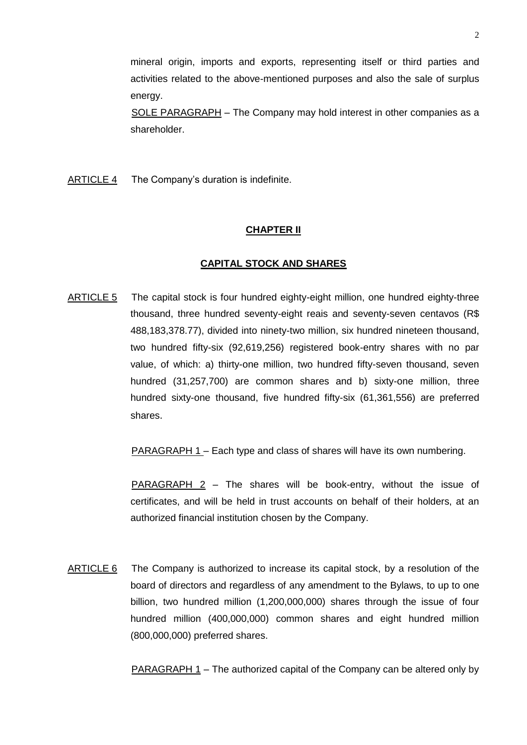mineral origin, imports and exports, representing itself or third parties and activities related to the above-mentioned purposes and also the sale of surplus energy.

SOLE PARAGRAPH – The Company may hold interest in other companies as a shareholder.

ARTICLE 4 The Company's duration is indefinite.

## **CHAPTER II**

## **CAPITAL STOCK AND SHARES**

ARTICLE 5 The capital stock is four hundred eighty-eight million, one hundred eighty-three thousand, three hundred seventy-eight reais and seventy-seven centavos (R\$ 488,183,378.77), divided into ninety-two million, six hundred nineteen thousand, two hundred fifty-six (92,619,256) registered book-entry shares with no par value, of which: a) thirty-one million, two hundred fifty-seven thousand, seven hundred (31,257,700) are common shares and b) sixty-one million, three hundred sixty-one thousand, five hundred fifty-six (61,361,556) are preferred shares.

PARAGRAPH 1 – Each type and class of shares will have its own numbering.

PARAGRAPH 2 – The shares will be book-entry, without the issue of certificates, and will be held in trust accounts on behalf of their holders, at an authorized financial institution chosen by the Company.

ARTICLE 6 The Company is authorized to increase its capital stock, by a resolution of the board of directors and regardless of any amendment to the Bylaws, to up to one billion, two hundred million (1,200,000,000) shares through the issue of four hundred million (400,000,000) common shares and eight hundred million (800,000,000) preferred shares.

PARAGRAPH 1 – The authorized capital of the Company can be altered only by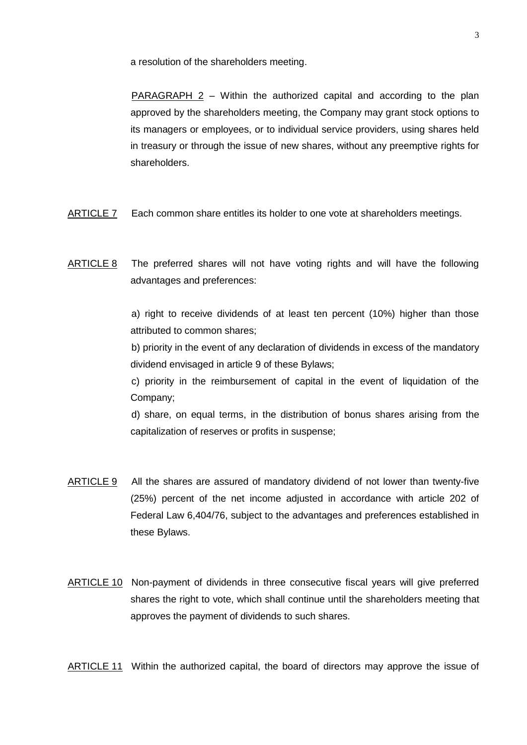a resolution of the shareholders meeting.

PARAGRAPH 2 – Within the authorized capital and according to the plan approved by the shareholders meeting, the Company may grant stock options to its managers or employees, or to individual service providers, using shares held in treasury or through the issue of new shares, without any preemptive rights for shareholders.

- ARTICLE 7 Each common share entitles its holder to one vote at shareholders meetings.
- ARTICLE 8 The preferred shares will not have voting rights and will have the following advantages and preferences:

a) right to receive dividends of at least ten percent (10%) higher than those attributed to common shares;

b) priority in the event of any declaration of dividends in excess of the mandatory dividend envisaged in article 9 of these Bylaws;

c) priority in the reimbursement of capital in the event of liquidation of the Company;

d) share, on equal terms, in the distribution of bonus shares arising from the capitalization of reserves or profits in suspense;

- ARTICLE 9 All the shares are assured of mandatory dividend of not lower than twenty-five (25%) percent of the net income adjusted in accordance with article 202 of Federal Law 6,404/76, subject to the advantages and preferences established in these Bylaws.
- ARTICLE 10 Non-payment of dividends in three consecutive fiscal years will give preferred shares the right to vote, which shall continue until the shareholders meeting that approves the payment of dividends to such shares.

ARTICLE 11 Within the authorized capital, the board of directors may approve the issue of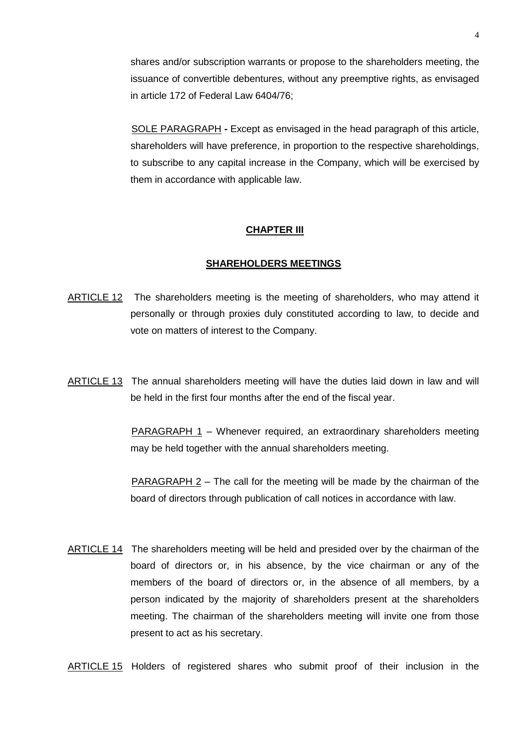shares and/or subscription warrants or propose to the shareholders meeting, the issuance of convertible debentures, without any preemptive rights, as envisaged in article 172 of Federal Law 6404/76;

SOLE PARAGRAPH **-** Except as envisaged in the head paragraph of this article, shareholders will have preference, in proportion to the respective shareholdings, to subscribe to any capital increase in the Company, which will be exercised by them in accordance with applicable law.

## **CHAPTER III**

#### **SHAREHOLDERS MEETINGS**

- ARTICLE 12 The shareholders meeting is the meeting of shareholders, who may attend it personally or through proxies duly constituted according to law, to decide and vote on matters of interest to the Company.
- ARTICLE 13 The annual shareholders meeting will have the duties laid down in law and will be held in the first four months after the end of the fiscal year.

PARAGRAPH 1 – Whenever required, an extraordinary shareholders meeting may be held together with the annual shareholders meeting.

PARAGRAPH 2 – The call for the meeting will be made by the chairman of the board of directors through publication of call notices in accordance with law.

ARTICLE 14 The shareholders meeting will be held and presided over by the chairman of the board of directors or, in his absence, by the vice chairman or any of the members of the board of directors or, in the absence of all members, by a person indicated by the majority of shareholders present at the shareholders meeting. The chairman of the shareholders meeting will invite one from those present to act as his secretary.

ARTICLE 15 Holders of registered shares who submit proof of their inclusion in the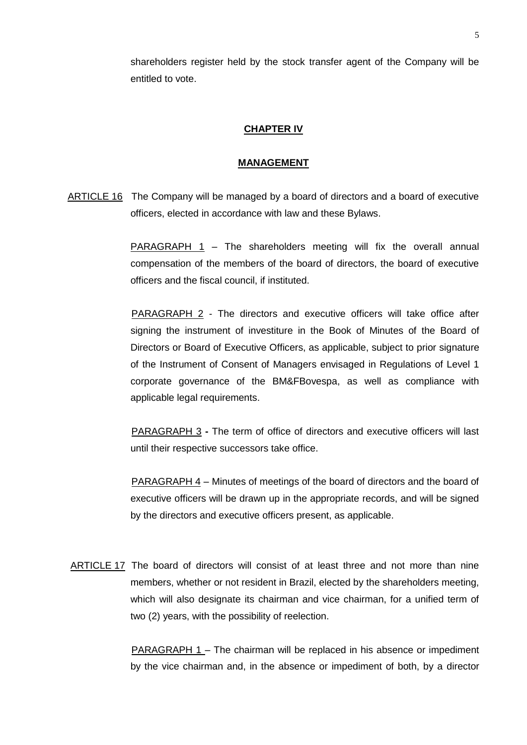shareholders register held by the stock transfer agent of the Company will be entitled to vote.

#### **CHAPTER IV**

#### **MANAGEMENT**

ARTICLE 16 The Company will be managed by a board of directors and a board of executive officers, elected in accordance with law and these Bylaws.

> **PARAGRAPH 1** – The shareholders meeting will fix the overall annual compensation of the members of the board of directors, the board of executive officers and the fiscal council, if instituted.

> PARAGRAPH 2 - The directors and executive officers will take office after signing the instrument of investiture in the Book of Minutes of the Board of Directors or Board of Executive Officers, as applicable, subject to prior signature of the Instrument of Consent of Managers envisaged in Regulations of Level 1 corporate governance of the BM&FBovespa, as well as compliance with applicable legal requirements.

> PARAGRAPH 3 **-** The term of office of directors and executive officers will last until their respective successors take office.

> PARAGRAPH 4 – Minutes of meetings of the board of directors and the board of executive officers will be drawn up in the appropriate records, and will be signed by the directors and executive officers present, as applicable.

ARTICLE 17 The board of directors will consist of at least three and not more than nine members, whether or not resident in Brazil, elected by the shareholders meeting, which will also designate its chairman and vice chairman, for a unified term of two (2) years, with the possibility of reelection.

> PARAGRAPH 1 – The chairman will be replaced in his absence or impediment by the vice chairman and, in the absence or impediment of both, by a director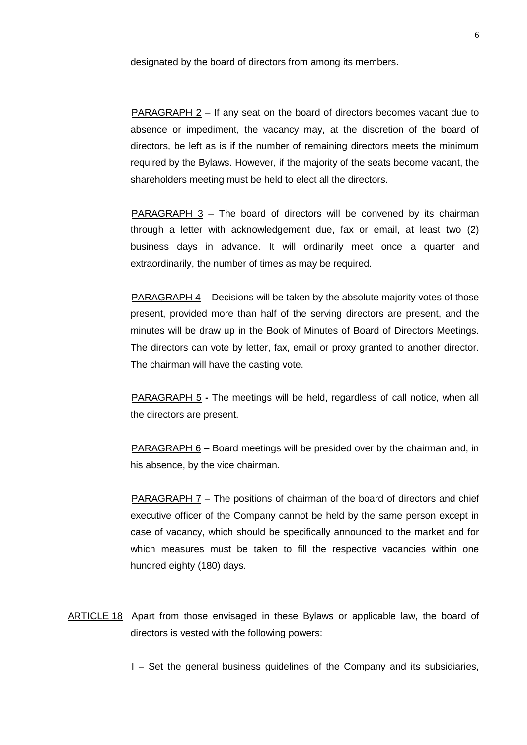designated by the board of directors from among its members.

PARAGRAPH 2 – If any seat on the board of directors becomes vacant due to absence or impediment, the vacancy may, at the discretion of the board of directors, be left as is if the number of remaining directors meets the minimum required by the Bylaws. However, if the majority of the seats become vacant, the shareholders meeting must be held to elect all the directors.

PARAGRAPH 3 – The board of directors will be convened by its chairman through a letter with acknowledgement due, fax or email, at least two (2) business days in advance. It will ordinarily meet once a quarter and extraordinarily, the number of times as may be required.

PARAGRAPH 4 – Decisions will be taken by the absolute majority votes of those present, provided more than half of the serving directors are present, and the minutes will be draw up in the Book of Minutes of Board of Directors Meetings. The directors can vote by letter, fax, email or proxy granted to another director. The chairman will have the casting vote.

PARAGRAPH 5 **-** The meetings will be held, regardless of call notice, when all the directors are present.

PARAGRAPH 6 **–** Board meetings will be presided over by the chairman and, in his absence, by the vice chairman.

PARAGRAPH 7 – The positions of chairman of the board of directors and chief executive officer of the Company cannot be held by the same person except in case of vacancy, which should be specifically announced to the market and for which measures must be taken to fill the respective vacancies within one hundred eighty (180) days.

ARTICLE 18 Apart from those envisaged in these Bylaws or applicable law, the board of directors is vested with the following powers:

I – Set the general business guidelines of the Company and its subsidiaries,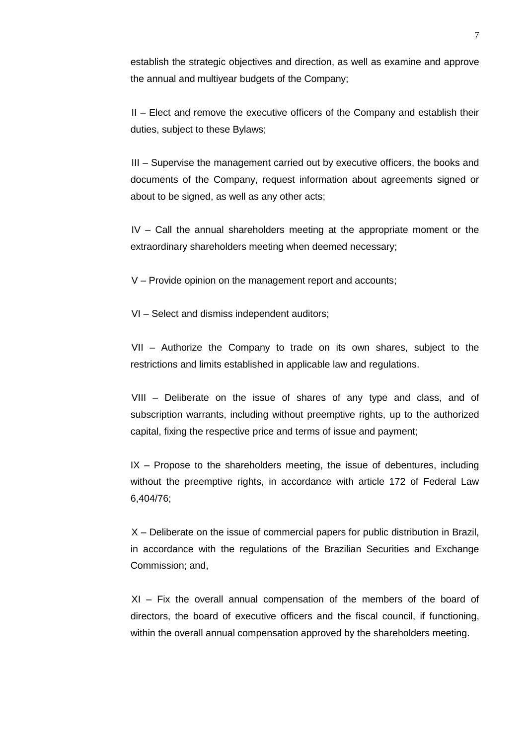establish the strategic objectives and direction, as well as examine and approve the annual and multiyear budgets of the Company;

II – Elect and remove the executive officers of the Company and establish their duties, subject to these Bylaws;

III – Supervise the management carried out by executive officers, the books and documents of the Company, request information about agreements signed or about to be signed, as well as any other acts;

IV – Call the annual shareholders meeting at the appropriate moment or the extraordinary shareholders meeting when deemed necessary;

V – Provide opinion on the management report and accounts;

VI – Select and dismiss independent auditors;

VII – Authorize the Company to trade on its own shares, subject to the restrictions and limits established in applicable law and regulations.

VIII – Deliberate on the issue of shares of any type and class, and of subscription warrants, including without preemptive rights, up to the authorized capital, fixing the respective price and terms of issue and payment;

 $IX$  – Propose to the shareholders meeting, the issue of debentures, including without the preemptive rights, in accordance with article 172 of Federal Law 6,404/76;

X – Deliberate on the issue of commercial papers for public distribution in Brazil, in accordance with the regulations of the Brazilian Securities and Exchange Commission; and,

XI – Fix the overall annual compensation of the members of the board of directors, the board of executive officers and the fiscal council, if functioning, within the overall annual compensation approved by the shareholders meeting.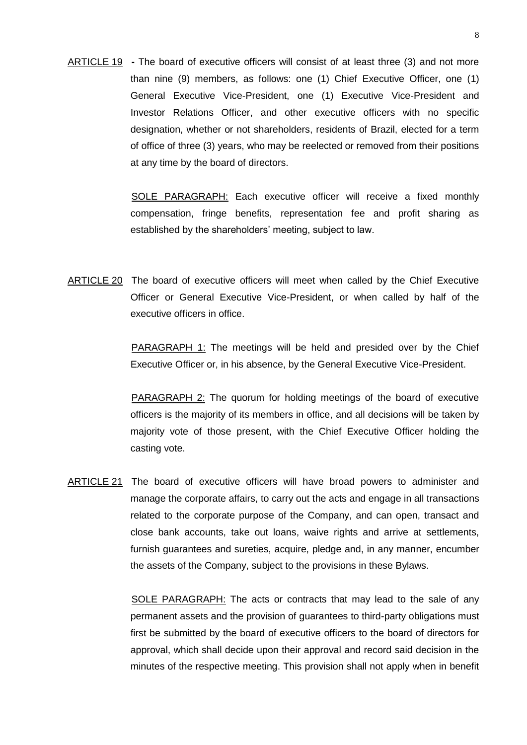ARTICLE 19 **-** The board of executive officers will consist of at least three (3) and not more than nine (9) members, as follows: one (1) Chief Executive Officer, one (1) General Executive Vice-President, one (1) Executive Vice-President and Investor Relations Officer, and other executive officers with no specific designation, whether or not shareholders, residents of Brazil, elected for a term of office of three (3) years, who may be reelected or removed from their positions at any time by the board of directors.

> SOLE PARAGRAPH: Each executive officer will receive a fixed monthly compensation, fringe benefits, representation fee and profit sharing as established by the shareholders' meeting, subject to law.

ARTICLE 20 The board of executive officers will meet when called by the Chief Executive Officer or General Executive Vice-President, or when called by half of the executive officers in office.

> PARAGRAPH 1: The meetings will be held and presided over by the Chief Executive Officer or, in his absence, by the General Executive Vice-President.

> PARAGRAPH 2: The quorum for holding meetings of the board of executive officers is the majority of its members in office, and all decisions will be taken by majority vote of those present, with the Chief Executive Officer holding the casting vote.

ARTICLE 21 The board of executive officers will have broad powers to administer and manage the corporate affairs, to carry out the acts and engage in all transactions related to the corporate purpose of the Company, and can open, transact and close bank accounts, take out loans, waive rights and arrive at settlements, furnish guarantees and sureties, acquire, pledge and, in any manner, encumber the assets of the Company, subject to the provisions in these Bylaws.

> SOLE PARAGRAPH: The acts or contracts that may lead to the sale of any permanent assets and the provision of guarantees to third-party obligations must first be submitted by the board of executive officers to the board of directors for approval, which shall decide upon their approval and record said decision in the minutes of the respective meeting. This provision shall not apply when in benefit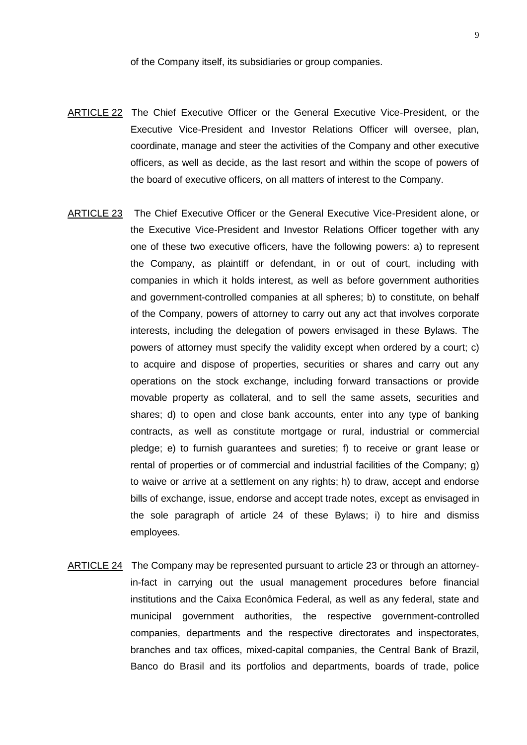of the Company itself, its subsidiaries or group companies.

- ARTICLE 22 The Chief Executive Officer or the General Executive Vice-President, or the Executive Vice-President and Investor Relations Officer will oversee, plan, coordinate, manage and steer the activities of the Company and other executive officers, as well as decide, as the last resort and within the scope of powers of the board of executive officers, on all matters of interest to the Company.
- ARTICLE 23 The Chief Executive Officer or the General Executive Vice-President alone, or the Executive Vice-President and Investor Relations Officer together with any one of these two executive officers, have the following powers: a) to represent the Company, as plaintiff or defendant, in or out of court, including with companies in which it holds interest, as well as before government authorities and government-controlled companies at all spheres; b) to constitute, on behalf of the Company, powers of attorney to carry out any act that involves corporate interests, including the delegation of powers envisaged in these Bylaws. The powers of attorney must specify the validity except when ordered by a court; c) to acquire and dispose of properties, securities or shares and carry out any operations on the stock exchange, including forward transactions or provide movable property as collateral, and to sell the same assets, securities and shares; d) to open and close bank accounts, enter into any type of banking contracts, as well as constitute mortgage or rural, industrial or commercial pledge; e) to furnish guarantees and sureties; f) to receive or grant lease or rental of properties or of commercial and industrial facilities of the Company; g) to waive or arrive at a settlement on any rights; h) to draw, accept and endorse bills of exchange, issue, endorse and accept trade notes, except as envisaged in the sole paragraph of article 24 of these Bylaws; i) to hire and dismiss employees.
- ARTICLE 24 The Company may be represented pursuant to article 23 or through an attorneyin-fact in carrying out the usual management procedures before financial institutions and the Caixa Econômica Federal, as well as any federal, state and municipal government authorities, the respective government-controlled companies, departments and the respective directorates and inspectorates, branches and tax offices, mixed-capital companies, the Central Bank of Brazil, Banco do Brasil and its portfolios and departments, boards of trade, police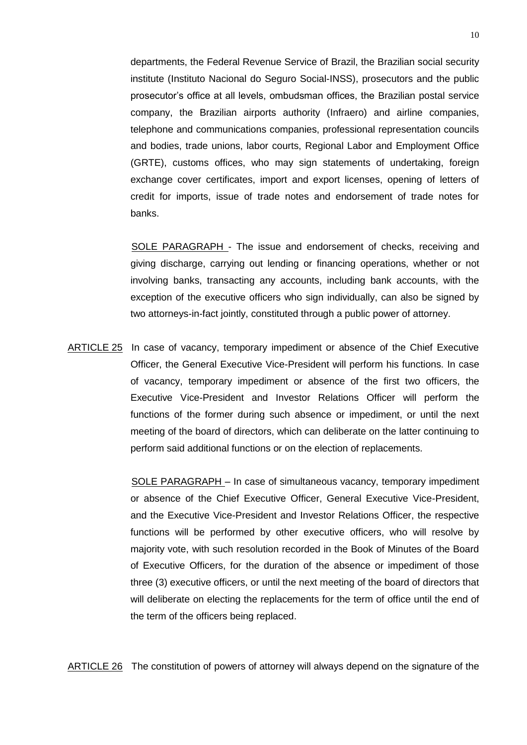departments, the Federal Revenue Service of Brazil, the Brazilian social security institute (Instituto Nacional do Seguro Social-INSS), prosecutors and the public prosecutor's office at all levels, ombudsman offices, the Brazilian postal service company, the Brazilian airports authority (Infraero) and airline companies, telephone and communications companies, professional representation councils and bodies, trade unions, labor courts, Regional Labor and Employment Office (GRTE), customs offices, who may sign statements of undertaking, foreign exchange cover certificates, import and export licenses, opening of letters of credit for imports, issue of trade notes and endorsement of trade notes for banks.

SOLE PARAGRAPH - The issue and endorsement of checks, receiving and giving discharge, carrying out lending or financing operations, whether or not involving banks, transacting any accounts, including bank accounts, with the exception of the executive officers who sign individually, can also be signed by two attorneys-in-fact jointly, constituted through a public power of attorney.

ARTICLE 25 In case of vacancy, temporary impediment or absence of the Chief Executive Officer, the General Executive Vice-President will perform his functions. In case of vacancy, temporary impediment or absence of the first two officers, the Executive Vice-President and Investor Relations Officer will perform the functions of the former during such absence or impediment, or until the next meeting of the board of directors, which can deliberate on the latter continuing to perform said additional functions or on the election of replacements.

> SOLE PARAGRAPH – In case of simultaneous vacancy, temporary impediment or absence of the Chief Executive Officer, General Executive Vice-President, and the Executive Vice-President and Investor Relations Officer, the respective functions will be performed by other executive officers, who will resolve by majority vote, with such resolution recorded in the Book of Minutes of the Board of Executive Officers, for the duration of the absence or impediment of those three (3) executive officers, or until the next meeting of the board of directors that will deliberate on electing the replacements for the term of office until the end of the term of the officers being replaced.

ARTICLE 26 The constitution of powers of attorney will always depend on the signature of the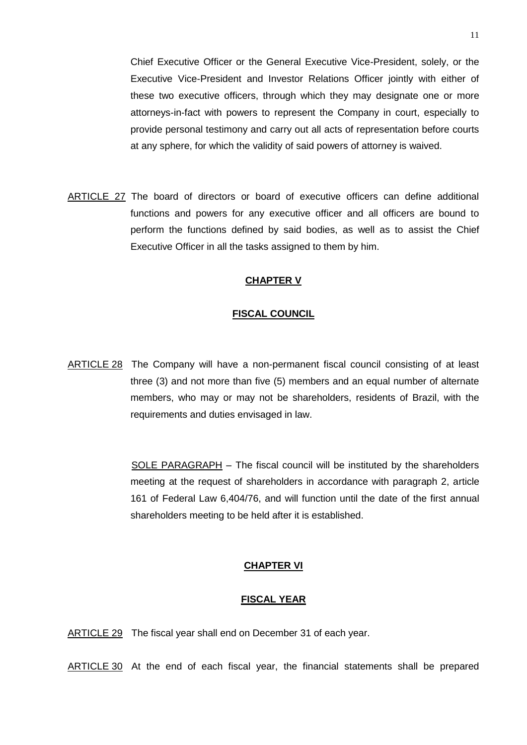ARTICLE 27 The board of directors or board of executive officers can define additional functions and powers for any executive officer and all officers are bound to perform the functions defined by said bodies, as well as to assist the Chief Executive Officer in all the tasks assigned to them by him.

at any sphere, for which the validity of said powers of attorney is waived.

## **CHAPTER V**

## **FISCAL COUNCIL**

ARTICLE 28 The Company will have a non-permanent fiscal council consisting of at least three (3) and not more than five (5) members and an equal number of alternate members, who may or may not be shareholders, residents of Brazil, with the requirements and duties envisaged in law.

> SOLE PARAGRAPH – The fiscal council will be instituted by the shareholders meeting at the request of shareholders in accordance with paragraph 2, article 161 of Federal Law 6,404/76, and will function until the date of the first annual shareholders meeting to be held after it is established.

## **CHAPTER VI**

## **FISCAL YEAR**

ARTICLE 29 The fiscal year shall end on December 31 of each year.

ARTICLE 30 At the end of each fiscal year, the financial statements shall be prepared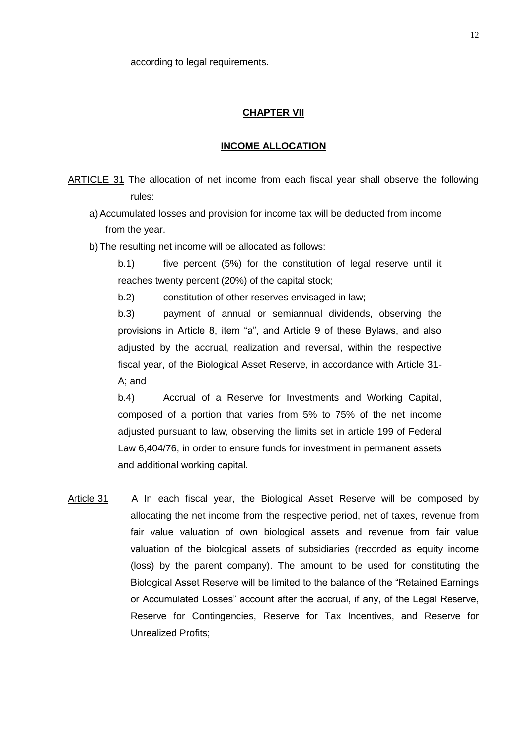according to legal requirements.

## **CHAPTER VII**

#### **INCOME ALLOCATION**

ARTICLE 31 The allocation of net income from each fiscal year shall observe the following rules:

a)Accumulated losses and provision for income tax will be deducted from income from the year.

b)The resulting net income will be allocated as follows:

b.1) five percent (5%) for the constitution of legal reserve until it reaches twenty percent (20%) of the capital stock;

b.2) constitution of other reserves envisaged in law;

b.3) payment of annual or semiannual dividends, observing the provisions in Article 8, item "a", and Article 9 of these Bylaws, and also adjusted by the accrual, realization and reversal, within the respective fiscal year, of the Biological Asset Reserve, in accordance with Article 31- A; and

b.4) Accrual of a Reserve for Investments and Working Capital, composed of a portion that varies from 5% to 75% of the net income adjusted pursuant to law, observing the limits set in article 199 of Federal Law 6,404/76, in order to ensure funds for investment in permanent assets and additional working capital.

Article 31 A In each fiscal year, the Biological Asset Reserve will be composed by allocating the net income from the respective period, net of taxes, revenue from fair value valuation of own biological assets and revenue from fair value valuation of the biological assets of subsidiaries (recorded as equity income (loss) by the parent company). The amount to be used for constituting the Biological Asset Reserve will be limited to the balance of the "Retained Earnings or Accumulated Losses" account after the accrual, if any, of the Legal Reserve, Reserve for Contingencies, Reserve for Tax Incentives, and Reserve for Unrealized Profits;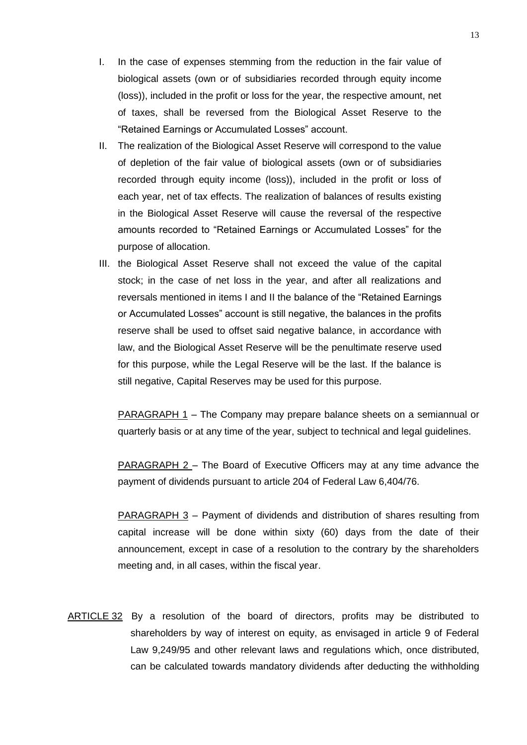- I. In the case of expenses stemming from the reduction in the fair value of biological assets (own or of subsidiaries recorded through equity income (loss)), included in the profit or loss for the year, the respective amount, net of taxes, shall be reversed from the Biological Asset Reserve to the "Retained Earnings or Accumulated Losses" account.
- II. The realization of the Biological Asset Reserve will correspond to the value of depletion of the fair value of biological assets (own or of subsidiaries recorded through equity income (loss)), included in the profit or loss of each year, net of tax effects. The realization of balances of results existing in the Biological Asset Reserve will cause the reversal of the respective amounts recorded to "Retained Earnings or Accumulated Losses" for the purpose of allocation.
- III. the Biological Asset Reserve shall not exceed the value of the capital stock; in the case of net loss in the year, and after all realizations and reversals mentioned in items I and II the balance of the "Retained Earnings or Accumulated Losses" account is still negative, the balances in the profits reserve shall be used to offset said negative balance, in accordance with law, and the Biological Asset Reserve will be the penultimate reserve used for this purpose, while the Legal Reserve will be the last. If the balance is still negative, Capital Reserves may be used for this purpose.

PARAGRAPH 1 – The Company may prepare balance sheets on a semiannual or quarterly basis or at any time of the year, subject to technical and legal guidelines.

PARAGRAPH 2 – The Board of Executive Officers may at any time advance the payment of dividends pursuant to article 204 of Federal Law 6,404/76.

PARAGRAPH 3 – Payment of dividends and distribution of shares resulting from capital increase will be done within sixty (60) days from the date of their announcement, except in case of a resolution to the contrary by the shareholders meeting and, in all cases, within the fiscal year.

ARTICLE 32 By a resolution of the board of directors, profits may be distributed to shareholders by way of interest on equity, as envisaged in article 9 of Federal Law 9,249/95 and other relevant laws and regulations which, once distributed, can be calculated towards mandatory dividends after deducting the withholding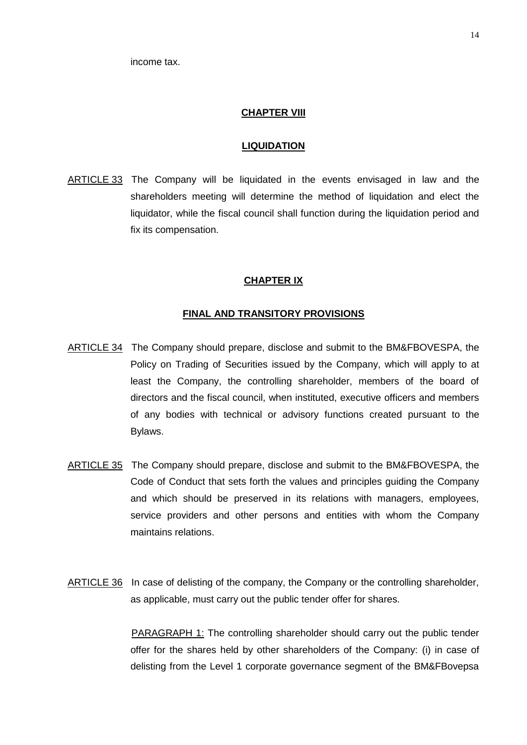income tax.

#### **CHAPTER VIII**

#### **LIQUIDATION**

ARTICLE 33 The Company will be liquidated in the events envisaged in law and the shareholders meeting will determine the method of liquidation and elect the liquidator, while the fiscal council shall function during the liquidation period and fix its compensation.

#### **CHAPTER IX**

#### **FINAL AND TRANSITORY PROVISIONS**

- ARTICLE 34 The Company should prepare, disclose and submit to the BM&FBOVESPA, the Policy on Trading of Securities issued by the Company, which will apply to at least the Company, the controlling shareholder, members of the board of directors and the fiscal council, when instituted, executive officers and members of any bodies with technical or advisory functions created pursuant to the Bylaws.
- ARTICLE 35 The Company should prepare, disclose and submit to the BM&FBOVESPA, the Code of Conduct that sets forth the values and principles guiding the Company and which should be preserved in its relations with managers, employees, service providers and other persons and entities with whom the Company maintains relations.
- ARTICLE 36 In case of delisting of the company, the Company or the controlling shareholder, as applicable, must carry out the public tender offer for shares.

PARAGRAPH 1: The controlling shareholder should carry out the public tender offer for the shares held by other shareholders of the Company: (i) in case of delisting from the Level 1 corporate governance segment of the BM&FBovepsa